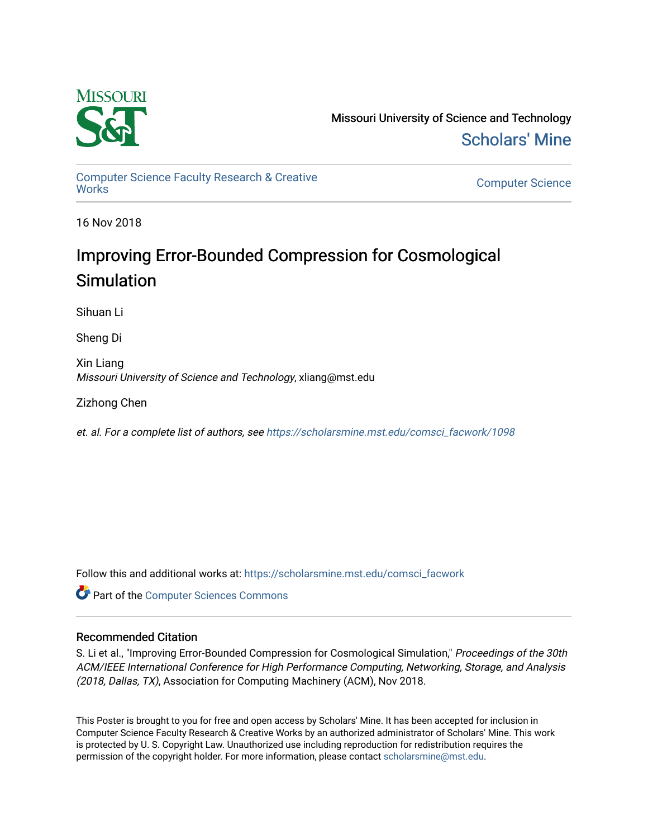

Missouri University of Science and Technology [Scholars' Mine](https://scholarsmine.mst.edu/) 

[Computer Science Faculty Research & Creative](https://scholarsmine.mst.edu/comsci_facwork) 

**Computer Science** 

16 Nov 2018

### Improving Error-Bounded Compression for Cosmological **Simulation**

Sihuan Li

Sheng Di

Xin Liang Missouri University of Science and Technology, xliang@mst.edu

Zizhong Chen

et. al. For a complete list of authors, see [https://scholarsmine.mst.edu/comsci\\_facwork/1098](https://scholarsmine.mst.edu/comsci_facwork/1098) 

Follow this and additional works at: [https://scholarsmine.mst.edu/comsci\\_facwork](https://scholarsmine.mst.edu/comsci_facwork?utm_source=scholarsmine.mst.edu%2Fcomsci_facwork%2F1098&utm_medium=PDF&utm_campaign=PDFCoverPages) 

**Part of the [Computer Sciences Commons](http://network.bepress.com/hgg/discipline/142?utm_source=scholarsmine.mst.edu%2Fcomsci_facwork%2F1098&utm_medium=PDF&utm_campaign=PDFCoverPages)** 

### Recommended Citation

S. Li et al., "Improving Error-Bounded Compression for Cosmological Simulation," Proceedings of the 30th ACM/IEEE International Conference for High Performance Computing, Networking, Storage, and Analysis (2018, Dallas, TX), Association for Computing Machinery (ACM), Nov 2018.

This Poster is brought to you for free and open access by Scholars' Mine. It has been accepted for inclusion in Computer Science Faculty Research & Creative Works by an authorized administrator of Scholars' Mine. This work is protected by U. S. Copyright Law. Unauthorized use including reproduction for redistribution requires the permission of the copyright holder. For more information, please contact [scholarsmine@mst.edu](mailto:scholarsmine@mst.edu).